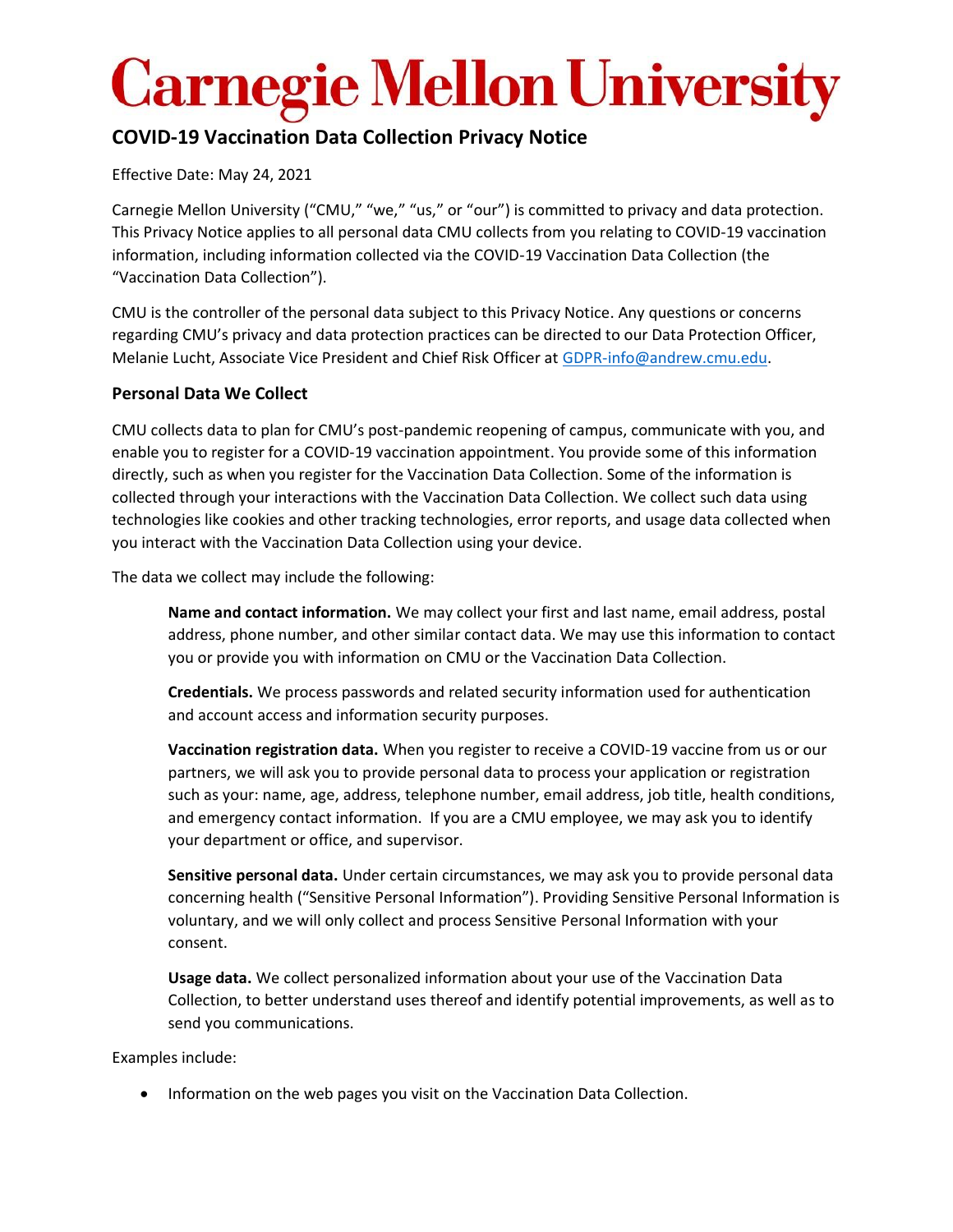## **COVID-19 Vaccination Data Collection Privacy Notice**

Effective Date: May 24, 2021

Carnegie Mellon University ("CMU," "we," "us," or "our") is committed to privacy and data protection. This Privacy Notice applies to all personal data CMU collects from you relating to COVID-19 vaccination information, including information collected via the COVID-19 Vaccination Data Collection (the "Vaccination Data Collection").

CMU is the controller of the personal data subject to this Privacy Notice. Any questions or concerns regarding CMU's privacy and data protection practices can be directed to our Data Protection Officer, Melanie Lucht, Associate Vice President and Chief Risk Officer at [GDPR-info@andrew.cmu.edu.](mailto:GDPR-info@andrew.cmu.edu)

### **Personal Data We Collect**

CMU collects data to plan for CMU's post-pandemic reopening of campus, communicate with you, and enable you to register for a COVID-19 vaccination appointment. You provide some of this information directly, such as when you register for the Vaccination Data Collection. Some of the information is collected through your interactions with the Vaccination Data Collection. We collect such data using technologies like cookies and other tracking technologies, error reports, and usage data collected when you interact with the Vaccination Data Collection using your device.

The data we collect may include the following:

**Name and contact information.** We may collect your first and last name, email address, postal address, phone number, and other similar contact data. We may use this information to contact you or provide you with information on CMU or the Vaccination Data Collection.

**Credentials.** We process passwords and related security information used for authentication and account access and information security purposes.

**Vaccination registration data.** When you register to receive a COVID-19 vaccine from us or our partners, we will ask you to provide personal data to process your application or registration such as your: name, age, address, telephone number, email address, job title, health conditions, and emergency contact information. If you are a CMU employee, we may ask you to identify your department or office, and supervisor.

**Sensitive personal data.** Under certain circumstances, we may ask you to provide personal data concerning health ("Sensitive Personal Information"). Providing Sensitive Personal Information is voluntary, and we will only collect and process Sensitive Personal Information with your consent.

**Usage data.** We collect personalized information about your use of the Vaccination Data Collection, to better understand uses thereof and identify potential improvements, as well as to send you communications.

Examples include:

• Information on the web pages you visit on the Vaccination Data Collection.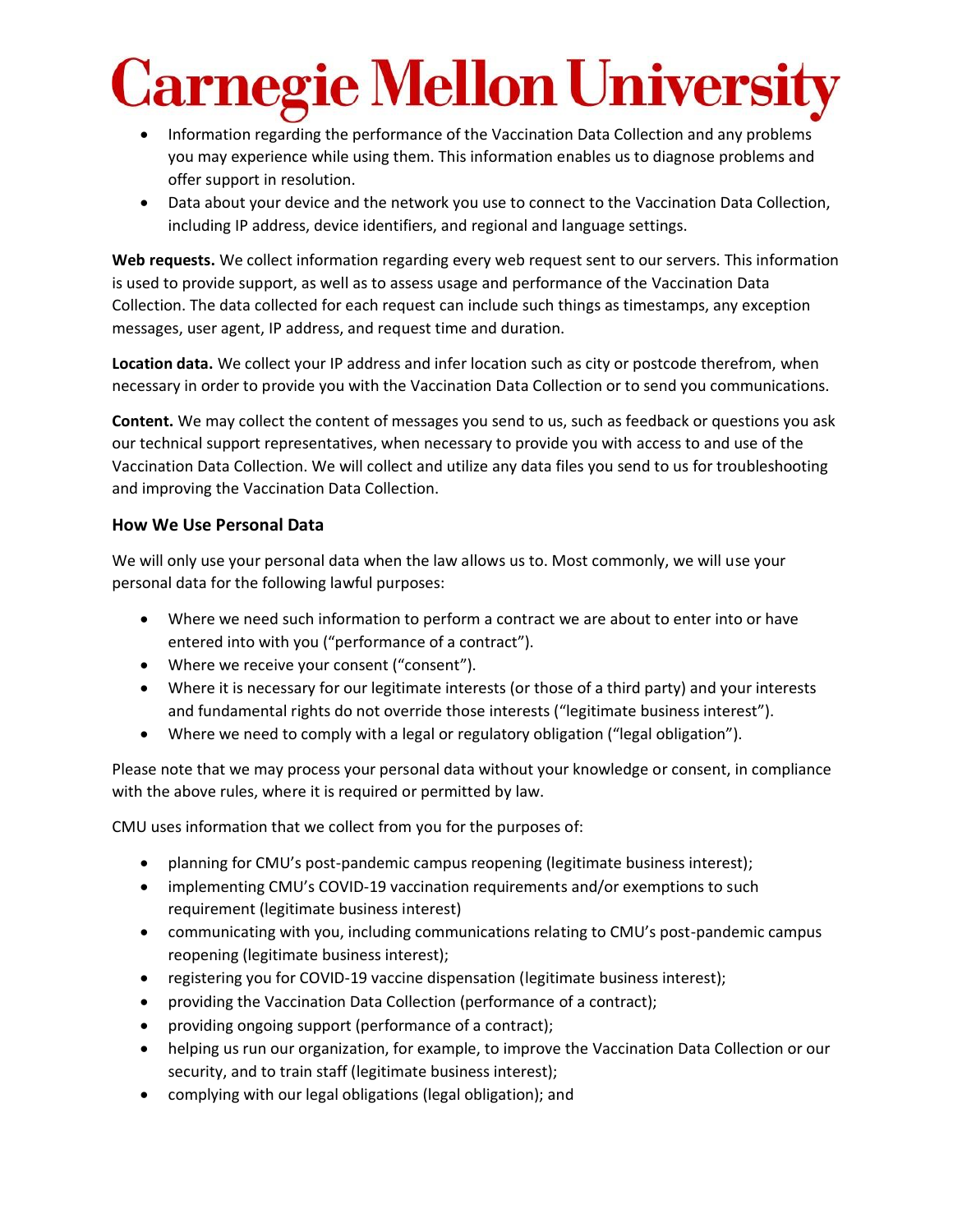- Information regarding the performance of the Vaccination Data Collection and any problems you may experience while using them. This information enables us to diagnose problems and offer support in resolution.
- Data about your device and the network you use to connect to the Vaccination Data Collection, including IP address, device identifiers, and regional and language settings.

**Web requests.** We collect information regarding every web request sent to our servers. This information is used to provide support, as well as to assess usage and performance of the Vaccination Data Collection. The data collected for each request can include such things as timestamps, any exception messages, user agent, IP address, and request time and duration.

**Location data.** We collect your IP address and infer location such as city or postcode therefrom, when necessary in order to provide you with the Vaccination Data Collection or to send you communications.

**Content.** We may collect the content of messages you send to us, such as feedback or questions you ask our technical support representatives, when necessary to provide you with access to and use of the Vaccination Data Collection. We will collect and utilize any data files you send to us for troubleshooting and improving the Vaccination Data Collection.

### **How We Use Personal Data**

We will only use your personal data when the law allows us to. Most commonly, we will use your personal data for the following lawful purposes:

- Where we need such information to perform a contract we are about to enter into or have entered into with you ("performance of a contract").
- Where we receive your consent ("consent").
- Where it is necessary for our legitimate interests (or those of a third party) and your interests and fundamental rights do not override those interests ("legitimate business interest").
- Where we need to comply with a legal or regulatory obligation ("legal obligation").

Please note that we may process your personal data without your knowledge or consent, in compliance with the above rules, where it is required or permitted by law.

CMU uses information that we collect from you for the purposes of:

- planning for CMU's post-pandemic campus reopening (legitimate business interest);
- implementing CMU's COVID-19 vaccination requirements and/or exemptions to such requirement (legitimate business interest)
- communicating with you, including communications relating to CMU's post-pandemic campus reopening (legitimate business interest);
- registering you for COVID-19 vaccine dispensation (legitimate business interest);
- providing the Vaccination Data Collection (performance of a contract);
- providing ongoing support (performance of a contract);
- helping us run our organization, for example, to improve the Vaccination Data Collection or our security, and to train staff (legitimate business interest);
- complying with our legal obligations (legal obligation); and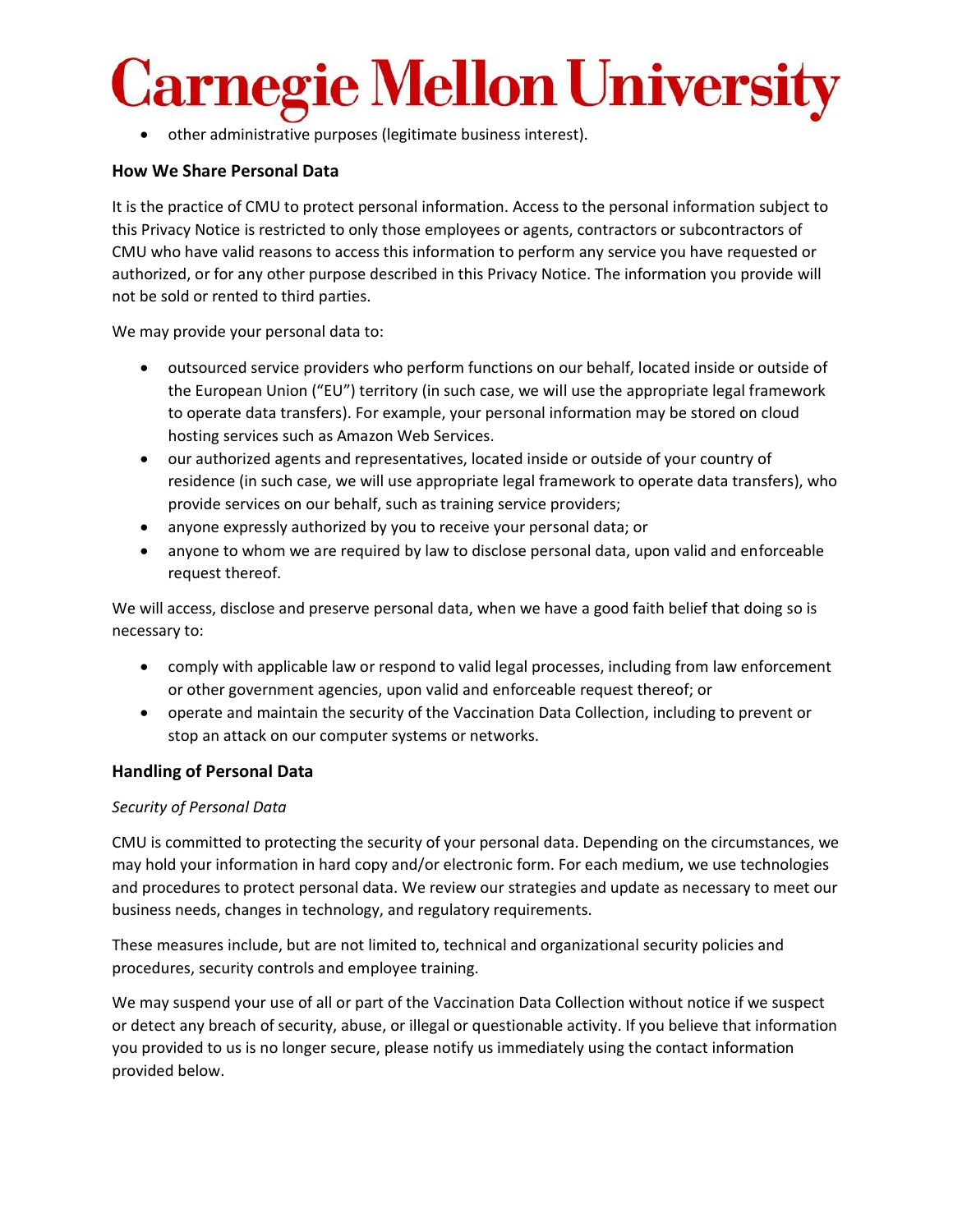• other administrative purposes (legitimate business interest).

#### **How We Share Personal Data**

It is the practice of CMU to protect personal information. Access to the personal information subject to this Privacy Notice is restricted to only those employees or agents, contractors or subcontractors of CMU who have valid reasons to access this information to perform any service you have requested or authorized, or for any other purpose described in this Privacy Notice. The information you provide will not be sold or rented to third parties.

We may provide your personal data to:

- outsourced service providers who perform functions on our behalf, located inside or outside of the European Union ("EU") territory (in such case, we will use the appropriate legal framework to operate data transfers). For example, your personal information may be stored on cloud hosting services such as Amazon Web Services.
- our authorized agents and representatives, located inside or outside of your country of residence (in such case, we will use appropriate legal framework to operate data transfers), who provide services on our behalf, such as training service providers;
- anyone expressly authorized by you to receive your personal data; or
- anyone to whom we are required by law to disclose personal data, upon valid and enforceable request thereof.

We will access, disclose and preserve personal data, when we have a good faith belief that doing so is necessary to:

- comply with applicable law or respond to valid legal processes, including from law enforcement or other government agencies, upon valid and enforceable request thereof; or
- operate and maintain the security of the Vaccination Data Collection, including to prevent or stop an attack on our computer systems or networks.

#### **Handling of Personal Data**

#### *Security of Personal Data*

CMU is committed to protecting the security of your personal data. Depending on the circumstances, we may hold your information in hard copy and/or electronic form. For each medium, we use technologies and procedures to protect personal data. We review our strategies and update as necessary to meet our business needs, changes in technology, and regulatory requirements.

These measures include, but are not limited to, technical and organizational security policies and procedures, security controls and employee training.

We may suspend your use of all or part of the Vaccination Data Collection without notice if we suspect or detect any breach of security, abuse, or illegal or questionable activity. If you believe that information you provided to us is no longer secure, please notify us immediately using the contact information provided below.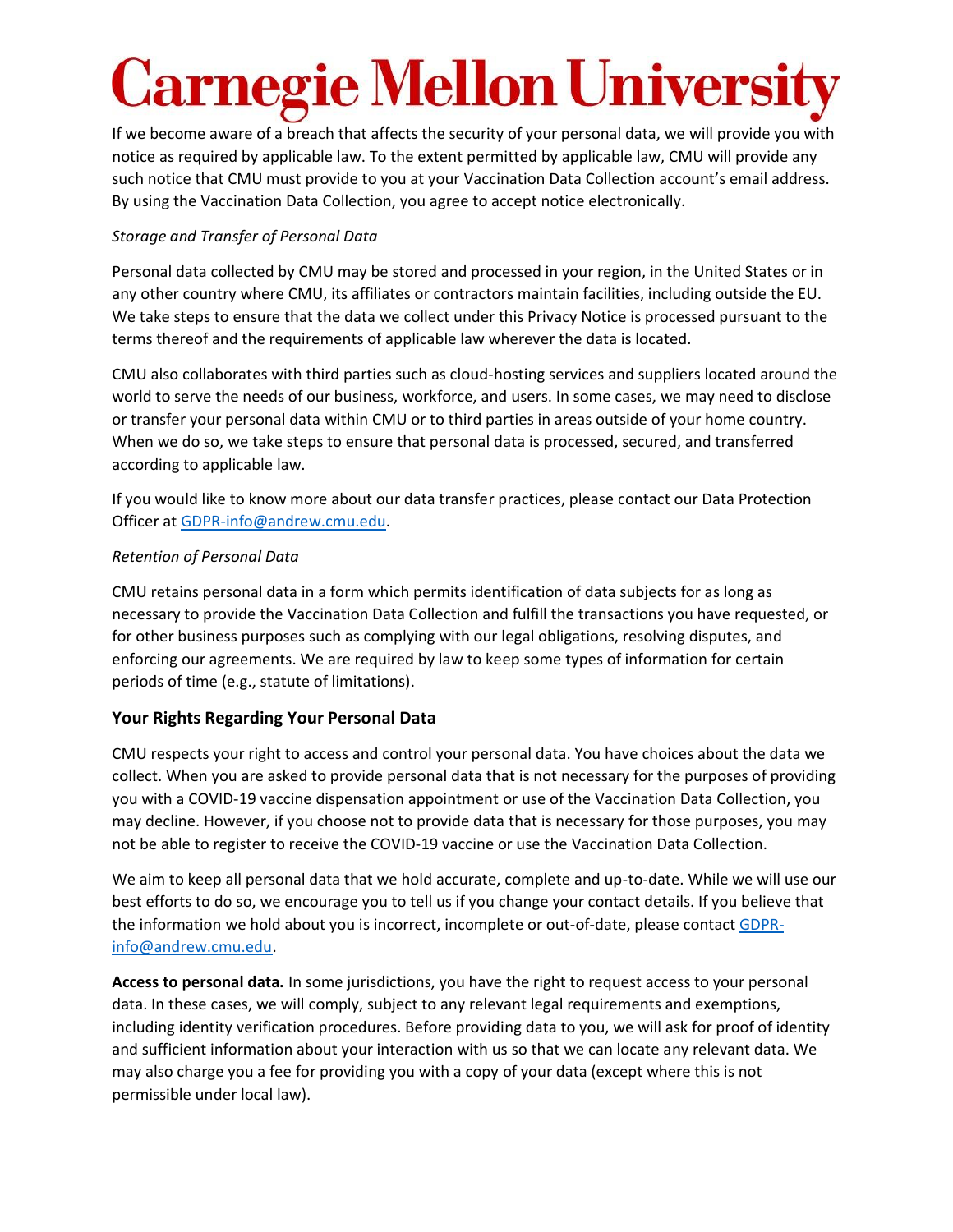If we become aware of a breach that affects the security of your personal data, we will provide you with notice as required by applicable law. To the extent permitted by applicable law, CMU will provide any such notice that CMU must provide to you at your Vaccination Data Collection account's email address. By using the Vaccination Data Collection, you agree to accept notice electronically.

### *Storage and Transfer of Personal Data*

Personal data collected by CMU may be stored and processed in your region, in the United States or in any other country where CMU, its affiliates or contractors maintain facilities, including outside the EU. We take steps to ensure that the data we collect under this Privacy Notice is processed pursuant to the terms thereof and the requirements of applicable law wherever the data is located.

CMU also collaborates with third parties such as cloud-hosting services and suppliers located around the world to serve the needs of our business, workforce, and users. In some cases, we may need to disclose or transfer your personal data within CMU or to third parties in areas outside of your home country. When we do so, we take steps to ensure that personal data is processed, secured, and transferred according to applicable law.

If you would like to know more about our data transfer practices, please contact our Data Protection Officer at [GDPR-info@andrew.cmu.edu.](mailto:GDPR-info@andrew.cmu.edu)

### *Retention of Personal Data*

CMU retains personal data in a form which permits identification of data subjects for as long as necessary to provide the Vaccination Data Collection and fulfill the transactions you have requested, or for other business purposes such as complying with our legal obligations, resolving disputes, and enforcing our agreements. We are required by law to keep some types of information for certain periods of time (e.g., statute of limitations).

## **Your Rights Regarding Your Personal Data**

CMU respects your right to access and control your personal data. You have choices about the data we collect. When you are asked to provide personal data that is not necessary for the purposes of providing you with a COVID-19 vaccine dispensation appointment or use of the Vaccination Data Collection, you may decline. However, if you choose not to provide data that is necessary for those purposes, you may not be able to register to receive the COVID-19 vaccine or use the Vaccination Data Collection.

We aim to keep all personal data that we hold accurate, complete and up-to-date. While we will use our best efforts to do so, we encourage you to tell us if you change your contact details. If you believe that the information we hold about you is incorrect, incomplete or out-of-date, please contact [GDPR](mailto:GDPR-info@andrew.cmu.edu)[info@andrew.cmu.edu.](mailto:GDPR-info@andrew.cmu.edu)

**Access to personal data.** In some jurisdictions, you have the right to request access to your personal data. In these cases, we will comply, subject to any relevant legal requirements and exemptions, including identity verification procedures. Before providing data to you, we will ask for proof of identity and sufficient information about your interaction with us so that we can locate any relevant data. We may also charge you a fee for providing you with a copy of your data (except where this is not permissible under local law).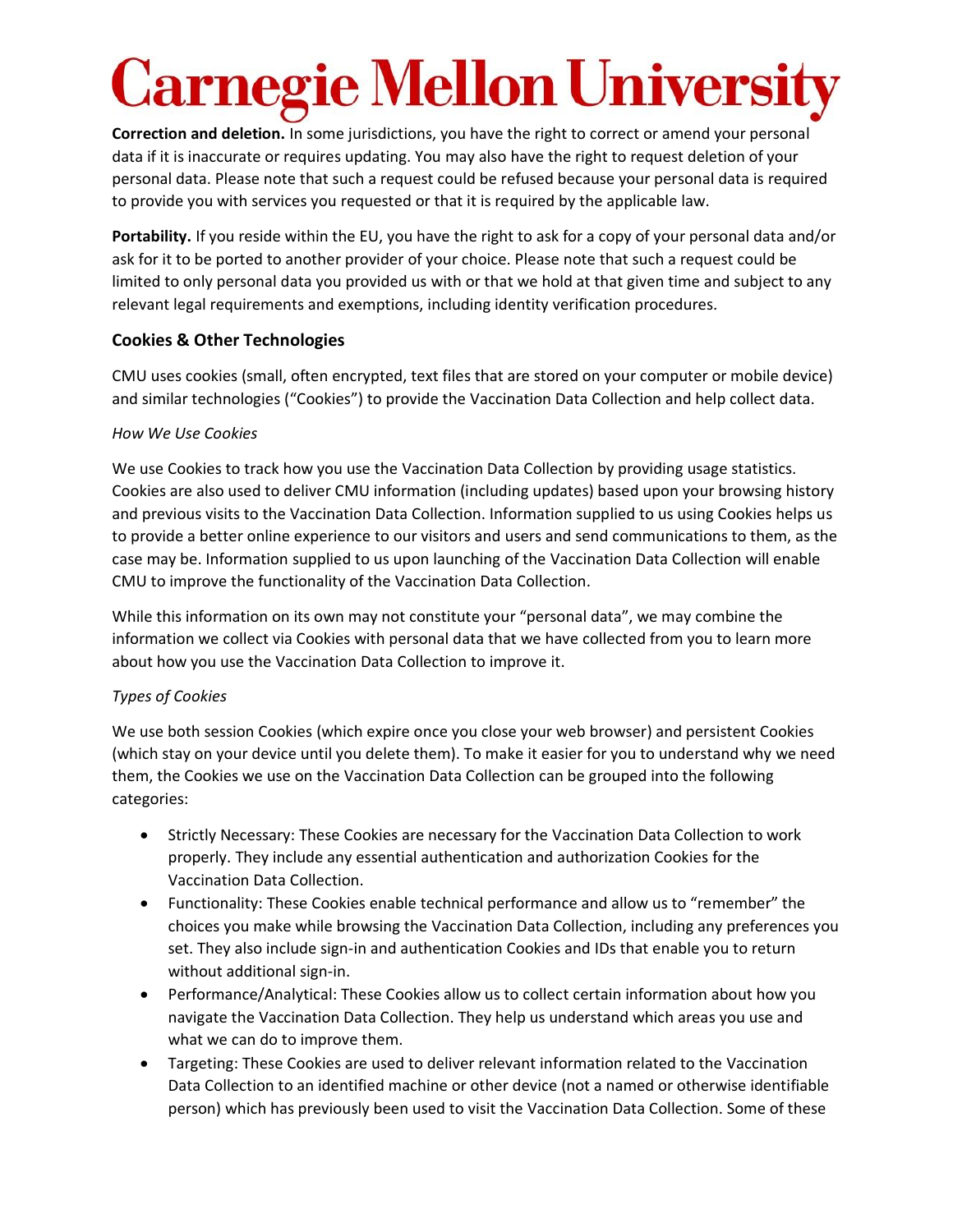## <u>rnegie Mellon Universi</u>

**Correction and deletion.** In some jurisdictions, you have the right to correct or amend your personal data if it is inaccurate or requires updating. You may also have the right to request deletion of your personal data. Please note that such a request could be refused because your personal data is required to provide you with services you requested or that it is required by the applicable law.

**Portability.** If you reside within the EU, you have the right to ask for a copy of your personal data and/or ask for it to be ported to another provider of your choice. Please note that such a request could be limited to only personal data you provided us with or that we hold at that given time and subject to any relevant legal requirements and exemptions, including identity verification procedures.

### **Cookies & Other Technologies**

CMU uses cookies (small, often encrypted, text files that are stored on your computer or mobile device) and similar technologies ("Cookies") to provide the Vaccination Data Collection and help collect data.

### *How We Use Cookies*

We use Cookies to track how you use the Vaccination Data Collection by providing usage statistics. Cookies are also used to deliver CMU information (including updates) based upon your browsing history and previous visits to the Vaccination Data Collection. Information supplied to us using Cookies helps us to provide a better online experience to our visitors and users and send communications to them, as the case may be. Information supplied to us upon launching of the Vaccination Data Collection will enable CMU to improve the functionality of the Vaccination Data Collection.

While this information on its own may not constitute your "personal data", we may combine the information we collect via Cookies with personal data that we have collected from you to learn more about how you use the Vaccination Data Collection to improve it.

## *Types of Cookies*

We use both session Cookies (which expire once you close your web browser) and persistent Cookies (which stay on your device until you delete them). To make it easier for you to understand why we need them, the Cookies we use on the Vaccination Data Collection can be grouped into the following categories:

- Strictly Necessary: These Cookies are necessary for the Vaccination Data Collection to work properly. They include any essential authentication and authorization Cookies for the Vaccination Data Collection.
- Functionality: These Cookies enable technical performance and allow us to "remember" the choices you make while browsing the Vaccination Data Collection, including any preferences you set. They also include sign-in and authentication Cookies and IDs that enable you to return without additional sign-in.
- Performance/Analytical: These Cookies allow us to collect certain information about how you navigate the Vaccination Data Collection. They help us understand which areas you use and what we can do to improve them.
- Targeting: These Cookies are used to deliver relevant information related to the Vaccination Data Collection to an identified machine or other device (not a named or otherwise identifiable person) which has previously been used to visit the Vaccination Data Collection. Some of these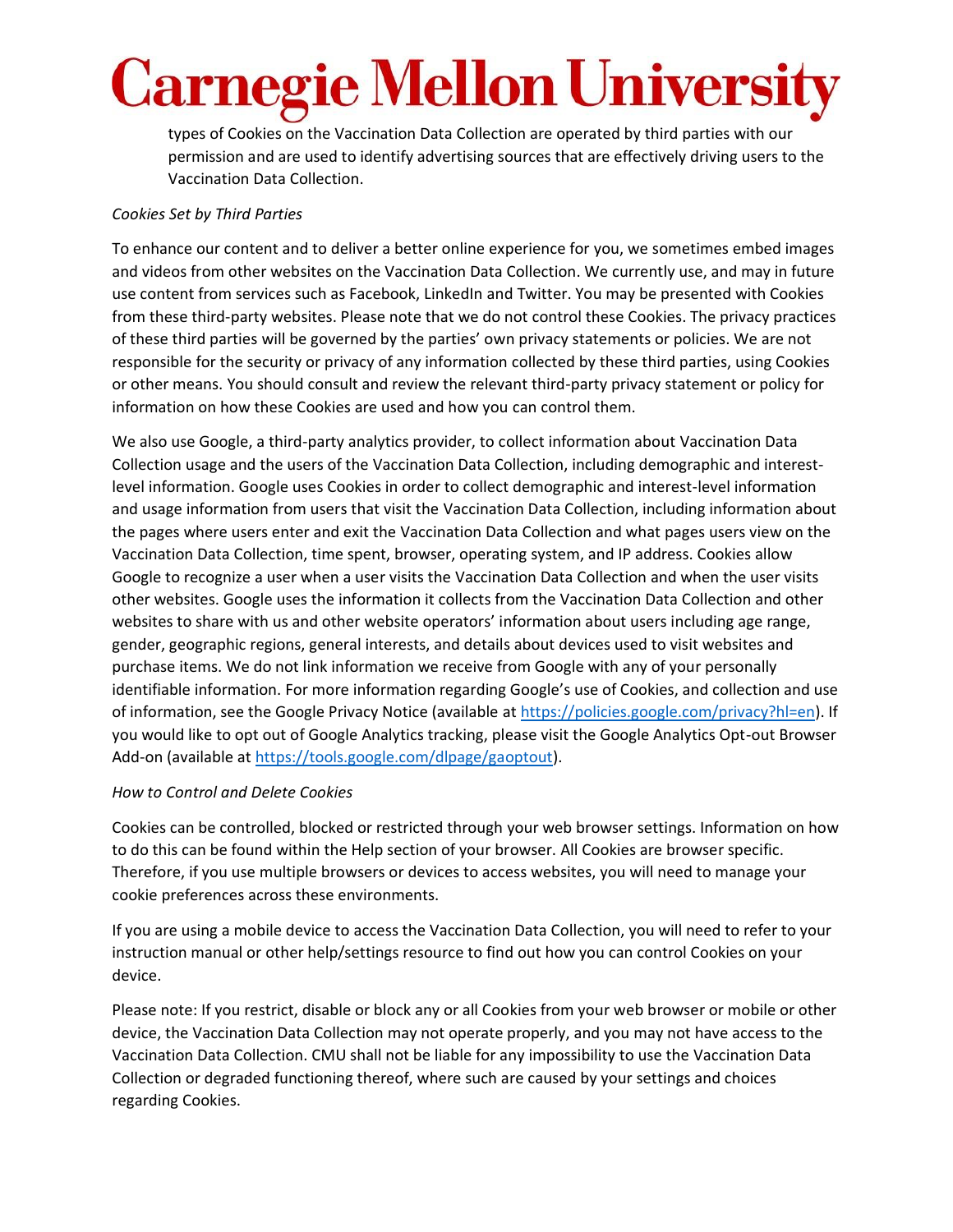types of Cookies on the Vaccination Data Collection are operated by third parties with our permission and are used to identify advertising sources that are effectively driving users to the Vaccination Data Collection.

### *Cookies Set by Third Parties*

To enhance our content and to deliver a better online experience for you, we sometimes embed images and videos from other websites on the Vaccination Data Collection. We currently use, and may in future use content from services such as Facebook, LinkedIn and Twitter. You may be presented with Cookies from these third-party websites. Please note that we do not control these Cookies. The privacy practices of these third parties will be governed by the parties' own privacy statements or policies. We are not responsible for the security or privacy of any information collected by these third parties, using Cookies or other means. You should consult and review the relevant third-party privacy statement or policy for information on how these Cookies are used and how you can control them.

We also use Google, a third-party analytics provider, to collect information about Vaccination Data Collection usage and the users of the Vaccination Data Collection, including demographic and interestlevel information. Google uses Cookies in order to collect demographic and interest-level information and usage information from users that visit the Vaccination Data Collection, including information about the pages where users enter and exit the Vaccination Data Collection and what pages users view on the Vaccination Data Collection, time spent, browser, operating system, and IP address. Cookies allow Google to recognize a user when a user visits the Vaccination Data Collection and when the user visits other websites. Google uses the information it collects from the Vaccination Data Collection and other websites to share with us and other website operators' information about users including age range, gender, geographic regions, general interests, and details about devices used to visit websites and purchase items. We do not link information we receive from Google with any of your personally identifiable information. For more information regarding Google's use of Cookies, and collection and use of information, see the Google Privacy Notice (available a[t https://policies.google.com/privacy?hl=en\)](https://policies.google.com/privacy?hl=en). If you would like to opt out of Google Analytics tracking, please visit the Google Analytics Opt-out Browser Add-on (available at [https://tools.google.com/dlpage/gaoptout\)](https://tools.google.com/dlpage/gaoptout).

### *How to Control and Delete Cookies*

Cookies can be controlled, blocked or restricted through your web browser settings. Information on how to do this can be found within the Help section of your browser. All Cookies are browser specific. Therefore, if you use multiple browsers or devices to access websites, you will need to manage your cookie preferences across these environments.

If you are using a mobile device to access the Vaccination Data Collection, you will need to refer to your instruction manual or other help/settings resource to find out how you can control Cookies on your device.

Please note: If you restrict, disable or block any or all Cookies from your web browser or mobile or other device, the Vaccination Data Collection may not operate properly, and you may not have access to the Vaccination Data Collection. CMU shall not be liable for any impossibility to use the Vaccination Data Collection or degraded functioning thereof, where such are caused by your settings and choices regarding Cookies.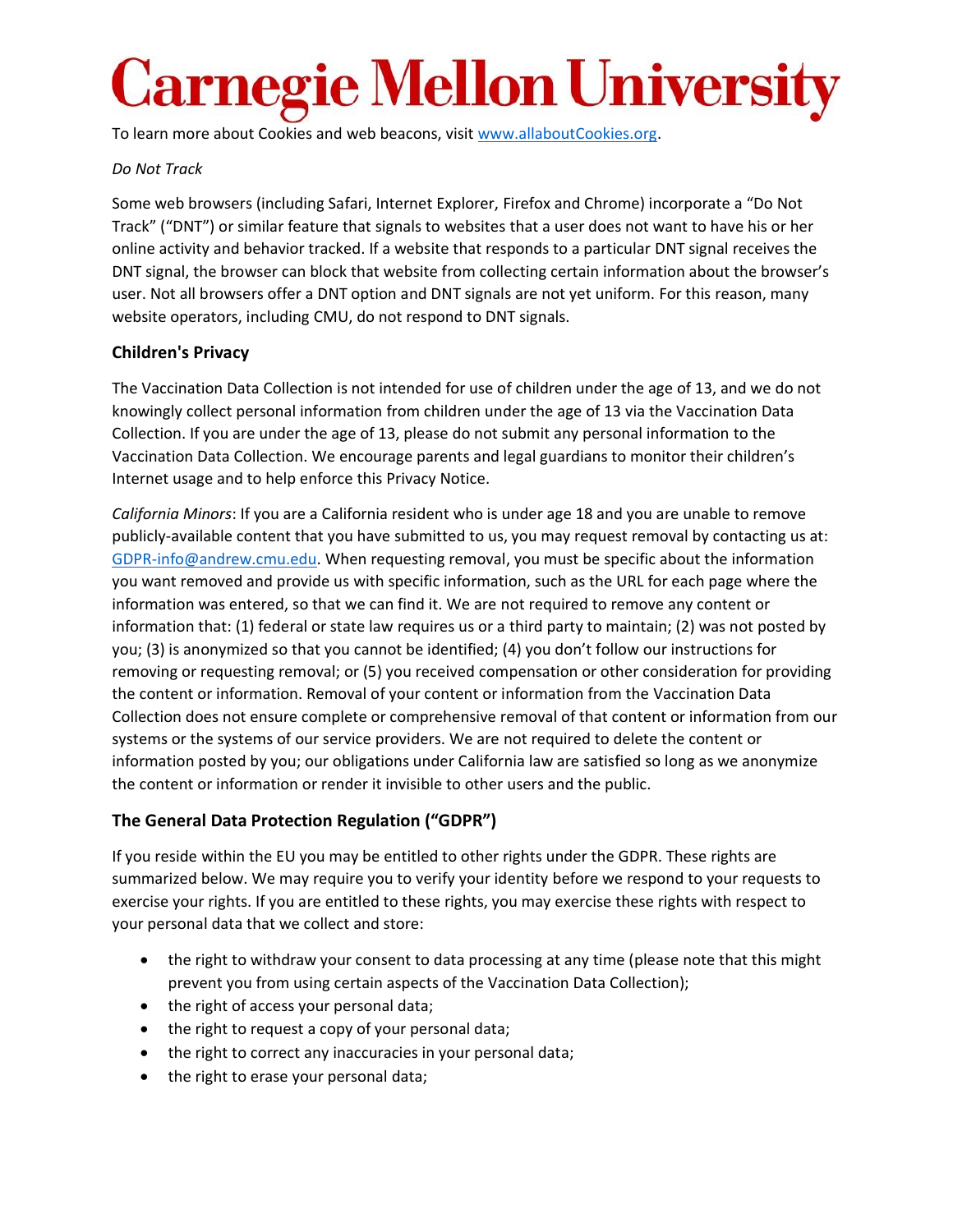To learn more about Cookies and web beacons, visit [www.allaboutCookies.org.](http://www.allaboutcookies.org/)

#### *Do Not Track*

Some web browsers (including Safari, Internet Explorer, Firefox and Chrome) incorporate a "Do Not Track" ("DNT") or similar feature that signals to websites that a user does not want to have his or her online activity and behavior tracked. If a website that responds to a particular DNT signal receives the DNT signal, the browser can block that website from collecting certain information about the browser's user. Not all browsers offer a DNT option and DNT signals are not yet uniform. For this reason, many website operators, including CMU, do not respond to DNT signals.

### **Children's Privacy**

The Vaccination Data Collection is not intended for use of children under the age of 13, and we do not knowingly collect personal information from children under the age of 13 via the Vaccination Data Collection. If you are under the age of 13, please do not submit any personal information to the Vaccination Data Collection. We encourage parents and legal guardians to monitor their children's Internet usage and to help enforce this Privacy Notice.

*California Minors*: If you are a California resident who is under age 18 and you are unable to remove publicly-available content that you have submitted to us, you may request removal by contacting us at: [GDPR-info@andrew.cmu.edu.](mailto:GDPR-info@andrew.cmu.edu) When requesting removal, you must be specific about the information you want removed and provide us with specific information, such as the URL for each page where the information was entered, so that we can find it. We are not required to remove any content or information that: (1) federal or state law requires us or a third party to maintain; (2) was not posted by you; (3) is anonymized so that you cannot be identified; (4) you don't follow our instructions for removing or requesting removal; or (5) you received compensation or other consideration for providing the content or information. Removal of your content or information from the Vaccination Data Collection does not ensure complete or comprehensive removal of that content or information from our systems or the systems of our service providers. We are not required to delete the content or information posted by you; our obligations under California law are satisfied so long as we anonymize the content or information or render it invisible to other users and the public.

## **The General Data Protection Regulation ("GDPR")**

If you reside within the EU you may be entitled to other rights under the GDPR. These rights are summarized below. We may require you to verify your identity before we respond to your requests to exercise your rights. If you are entitled to these rights, you may exercise these rights with respect to your personal data that we collect and store:

- the right to withdraw your consent to data processing at any time (please note that this might prevent you from using certain aspects of the Vaccination Data Collection);
- the right of access your personal data;
- the right to request a copy of your personal data;
- the right to correct any inaccuracies in your personal data;
- the right to erase your personal data;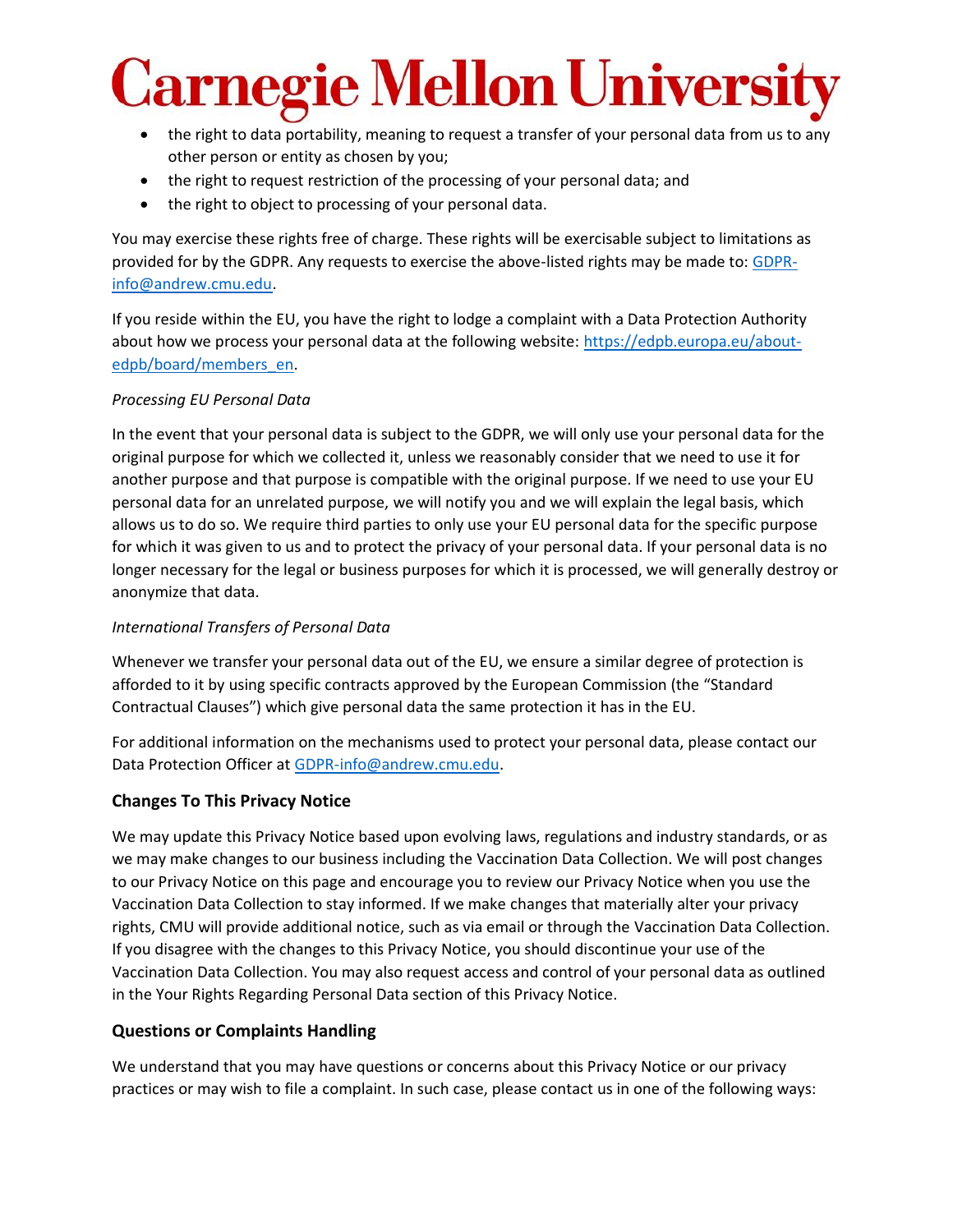# <u>rnegie Mellon Universi</u>

- the right to data portability, meaning to request a transfer of your personal data from us to any other person or entity as chosen by you;
- the right to request restriction of the processing of your personal data; and
- the right to object to processing of your personal data.

You may exercise these rights free of charge. These rights will be exercisable subject to limitations as provided for by the GDPR. Any requests to exercise the above-listed rights may be made to[: GDPR](mailto:GDPR-info@andrew.cmu.edu)[info@andrew.cmu.edu.](mailto:GDPR-info@andrew.cmu.edu)

If you reside within the EU, you have the right to lodge a complaint with a Data Protection Authority about how we process your personal data at the following website: [https://edpb.europa.eu/about](https://edpb.europa.eu/about-edpb/board/members_en)[edpb/board/members\\_en.](https://edpb.europa.eu/about-edpb/board/members_en)

### *Processing EU Personal Data*

In the event that your personal data is subject to the GDPR, we will only use your personal data for the original purpose for which we collected it, unless we reasonably consider that we need to use it for another purpose and that purpose is compatible with the original purpose. If we need to use your EU personal data for an unrelated purpose, we will notify you and we will explain the legal basis, which allows us to do so. We require third parties to only use your EU personal data for the specific purpose for which it was given to us and to protect the privacy of your personal data. If your personal data is no longer necessary for the legal or business purposes for which it is processed, we will generally destroy or anonymize that data.

#### *International Transfers of Personal Data*

Whenever we transfer your personal data out of the EU, we ensure a similar degree of protection is afforded to it by using specific contracts approved by the European Commission (the "Standard Contractual Clauses") which give personal data the same protection it has in the EU.

For additional information on the mechanisms used to protect your personal data, please contact our Data Protection Officer at [GDPR-info@andrew.cmu.edu.](mailto:GDPR-info@andrew.cmu.edu)

### **Changes To This Privacy Notice**

We may update this Privacy Notice based upon evolving laws, regulations and industry standards, or as we may make changes to our business including the Vaccination Data Collection. We will post changes to our Privacy Notice on this page and encourage you to review our Privacy Notice when you use the Vaccination Data Collection to stay informed. If we make changes that materially alter your privacy rights, CMU will provide additional notice, such as via email or through the Vaccination Data Collection. If you disagree with the changes to this Privacy Notice, you should discontinue your use of the Vaccination Data Collection. You may also request access and control of your personal data as outlined in the Your Rights Regarding Personal Data section of this Privacy Notice.

### **Questions or Complaints Handling**

We understand that you may have questions or concerns about this Privacy Notice or our privacy practices or may wish to file a complaint. In such case, please contact us in one of the following ways: